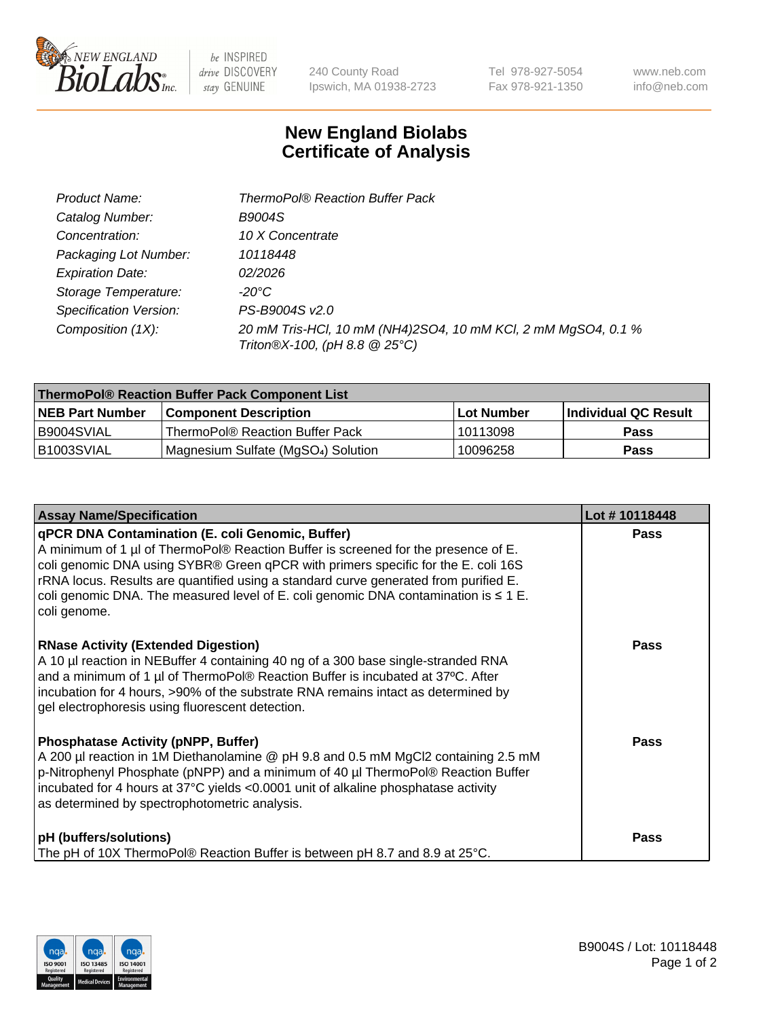

 $be$  INSPIRED drive DISCOVERY stay GENUINE

240 County Road Ipswich, MA 01938-2723

Tel 978-927-5054 Fax 978-921-1350

www.neb.com info@neb.com

## **New England Biolabs Certificate of Analysis**

| Product Name:           | <b>ThermoPol® Reaction Buffer Pack</b>                                                         |
|-------------------------|------------------------------------------------------------------------------------------------|
| Catalog Number:         | <b>B9004S</b>                                                                                  |
| Concentration:          | 10 X Concentrate                                                                               |
| Packaging Lot Number:   | 10118448                                                                                       |
| <b>Expiration Date:</b> | 02/2026                                                                                        |
| Storage Temperature:    | -20°C                                                                                          |
| Specification Version:  | PS-B9004S v2.0                                                                                 |
| Composition (1X):       | 20 mM Tris-HCl, 10 mM (NH4)2SO4, 10 mM KCl, 2 mM MgSO4, 0.1 %<br>Triton®X-100, (pH 8.8 @ 25°C) |

| ThermoPol® Reaction Buffer Pack Component List |                                                 |            |                             |  |
|------------------------------------------------|-------------------------------------------------|------------|-----------------------------|--|
| <b>NEB Part Number</b>                         | l Component Description                         | Lot Number | <b>Individual QC Result</b> |  |
| I B9004SVIAL                                   | ThermoPol® Reaction Buffer Pack                 | 10113098   | <b>Pass</b>                 |  |
| IB1003SVIAL                                    | Magnesium Sulfate (MgSO <sub>4</sub> ) Solution | 10096258   | Pass                        |  |

| <b>Assay Name/Specification</b>                                                                                                                                                                                                                                                                                                                                                                                                 | Lot #10118448 |
|---------------------------------------------------------------------------------------------------------------------------------------------------------------------------------------------------------------------------------------------------------------------------------------------------------------------------------------------------------------------------------------------------------------------------------|---------------|
| qPCR DNA Contamination (E. coli Genomic, Buffer)<br>A minimum of 1 µl of ThermoPol® Reaction Buffer is screened for the presence of E.<br>coli genomic DNA using SYBR® Green qPCR with primers specific for the E. coli 16S<br>rRNA locus. Results are quantified using a standard curve generated from purified E.<br>coli genomic DNA. The measured level of E. coli genomic DNA contamination is $\leq 1$ E.<br>coli genome. | <b>Pass</b>   |
| <b>RNase Activity (Extended Digestion)</b><br>A 10 µl reaction in NEBuffer 4 containing 40 ng of a 300 base single-stranded RNA<br>and a minimum of 1 µl of ThermoPol® Reaction Buffer is incubated at 37°C. After<br>incubation for 4 hours, >90% of the substrate RNA remains intact as determined by<br>gel electrophoresis using fluorescent detection.                                                                     | <b>Pass</b>   |
| <b>Phosphatase Activity (pNPP, Buffer)</b><br>A 200 µl reaction in 1M Diethanolamine @ pH 9.8 and 0.5 mM MgCl2 containing 2.5 mM<br>p-Nitrophenyl Phosphate (pNPP) and a minimum of 40 µl ThermoPol® Reaction Buffer<br>incubated for 4 hours at 37°C yields <0.0001 unit of alkaline phosphatase activity<br>as determined by spectrophotometric analysis.                                                                     | <b>Pass</b>   |
| pH (buffers/solutions)<br>The pH of 10X ThermoPol® Reaction Buffer is between pH 8.7 and 8.9 at 25°C.                                                                                                                                                                                                                                                                                                                           | Pass          |